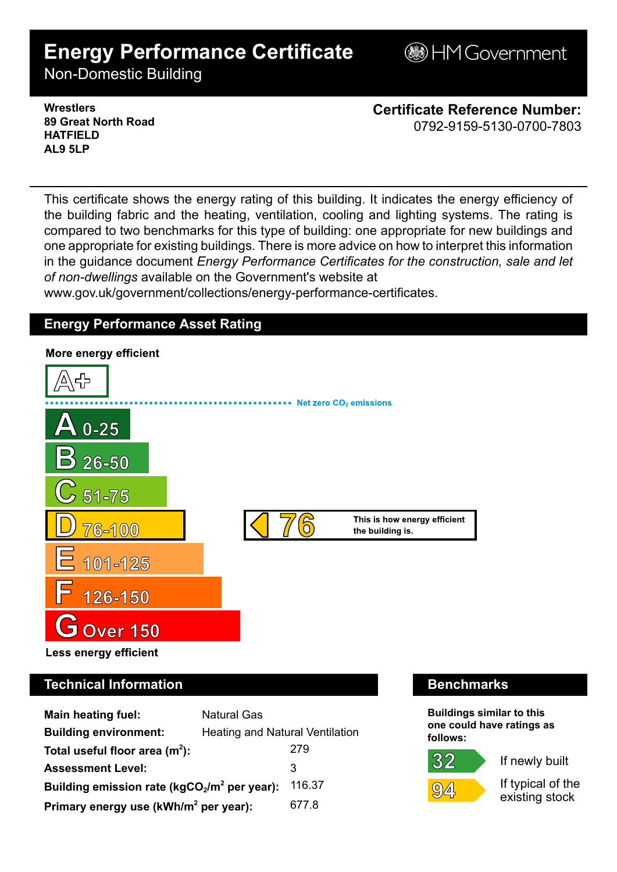# **Energy Performance Certificate**

**BHM Government** 

Non-Domestic Building

### **Wrestlers 89 Great North Road HATFIELD AL9 5LP**

**Certificate Reference Number:** 0792-9159-5130-0700-7803

This certificate shows the energy rating of this building. It indicates the energy efficiency of the building fabric and the heating, ventilation, cooling and lighting systems. The rating is compared to two benchmarks for this type of building: one appropriate for new buildings and one appropriate for existing buildings. There is more advice on how to interpret this information in the guidance document *Energy Performance Certificates for the construction, sale and let of non-dwellings* available on the Government's website at

www.gov.uk/government/collections/energy-performance-certificates.

# **Energy Performance Asset Rating**



# **Technical Information Benchmarks**

| <b>Main heating fuel:</b>                         | <b>Natural Gas</b>              |        |
|---------------------------------------------------|---------------------------------|--------|
| <b>Building environment:</b>                      | Heating and Natural Ventilation |        |
| Total useful floor area $(m2)$ :                  |                                 | 279    |
| <b>Assessment Level:</b>                          |                                 | 3      |
| Building emission rate ( $kgCO2/m2$ per year):    |                                 | 116.37 |
| Primary energy use (kWh/m <sup>2</sup> per year): |                                 | 677.8  |

**Buildings similar to this one could have ratings as follows:**

# 32



If newly built

If typical of the existing stock